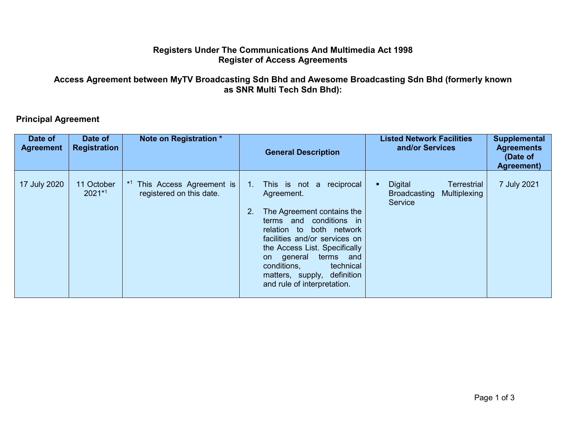## **Registers Under The Communications And Multimedia Act 1998 Register of Access Agreements**

## **Access Agreement between MyTV Broadcasting Sdn Bhd and Awesome Broadcasting Sdn Bhd (formerly known as SNR Multi Tech Sdn Bhd):**

## **Principal Agreement**

| Date of<br><b>Agreement</b> | Date of<br><b>Registration</b> | Note on Registration *                                             | <b>General Description</b>                                                                                                                                                                                                                                                                                                                     | <b>Listed Network Facilities</b><br>and/or Services                             | Supplemental<br><b>Agreements</b><br>(Date of<br>Agreement) |
|-----------------------------|--------------------------------|--------------------------------------------------------------------|------------------------------------------------------------------------------------------------------------------------------------------------------------------------------------------------------------------------------------------------------------------------------------------------------------------------------------------------|---------------------------------------------------------------------------------|-------------------------------------------------------------|
| 17 July 2020                | 11 October<br>$2021*1$         | <sup>*1</sup> This Access Agreement is<br>registered on this date. | reciprocal<br>This is not a<br>$1_{\cdots}$<br>Agreement.<br>The Agreement contains the<br>2.<br>terms and conditions in<br>relation to both network<br>facilities and/or services on<br>the Access List. Specifically<br>terms<br>on general<br>and<br>conditions,<br>technical<br>matters, supply, definition<br>and rule of interpretation. | <b>Digital</b><br>Terrestrial<br><b>Broadcasting</b><br>Multiplexing<br>Service | 7 July 2021                                                 |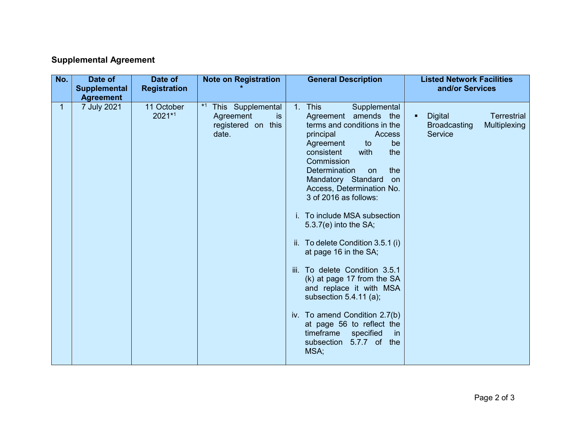## **Supplemental Agreement**

| No.          | Date of<br>Date of<br><b>Supplemental</b><br><b>Registration</b><br><b>Agreement</b> | <b>Note on Registration</b>                                                 | <b>General Description</b>                                                                                                                                                                                                                                                                                                                                                                                                                                                                                                                                                                                                                                                                                            | <b>Listed Network Facilities</b><br>and/or Services                                         |
|--------------|--------------------------------------------------------------------------------------|-----------------------------------------------------------------------------|-----------------------------------------------------------------------------------------------------------------------------------------------------------------------------------------------------------------------------------------------------------------------------------------------------------------------------------------------------------------------------------------------------------------------------------------------------------------------------------------------------------------------------------------------------------------------------------------------------------------------------------------------------------------------------------------------------------------------|---------------------------------------------------------------------------------------------|
| $\mathbf{1}$ | 7 July 2021<br>11 October<br>2021*1                                                  | $*1$<br>This Supplemental<br>Agreement<br>is<br>registered on this<br>date. | <b>This</b><br>1 <sub>1</sub><br>Supplemental<br>Agreement amends the<br>terms and conditions in the<br>principal<br>Access<br>Agreement<br>to<br>be<br>consistent<br>the<br>with<br>Commission<br><b>Determination</b><br>the<br>on<br>Mandatory Standard<br>on<br>Access, Determination No.<br>3 of 2016 as follows:<br>i. To include MSA subsection<br>$5.3.7(e)$ into the SA;<br>ii. To delete Condition 3.5.1 (i)<br>at page 16 in the SA;<br>iii. To delete Condition 3.5.1<br>(k) at page 17 from the SA<br>and replace it with MSA<br>subsection $5.4.11$ (a);<br>iv. To amend Condition 2.7(b)<br>at page 56 to reflect the<br>timeframe<br>specified<br><sub>in</sub><br>5.7.7 of the<br>subsection<br>MSA; | <b>Digital</b><br><b>Terrestrial</b><br>п<br>Multiplexing<br><b>Broadcasting</b><br>Service |